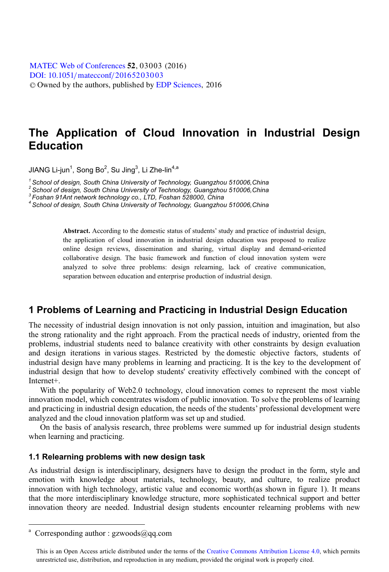[DOI: 10.1051](http://dx.doi.org/10.1051/matecconf/20165203003)/matecconf/20165203003 © Owned by the authors, published by [EDP Sciences](http://www.edpsciences.org), 2016 MATEC [Web of Conferences](http://www.matec-conferences.org) 52, 03003 (2016)

# **The Application of Cloud Innovation in Industrial Design Education**

JIANG LI-jun,Song Bo,Su Jing,Li Zhe-lin<sup>37</sup><br>4

*<sup>1</sup> School of design, South China University of Technology, Guangzhou 510006,China*

*<sup>2</sup> School of design, South China University of Technology, Guangzhou 510006,China*

*<sup>3</sup> Foshan 91Ant network technology co., LTD, Foshan 528000, China*

*<sup>4</sup> School of design, South China University of Technology, Guangzhou 510006,China*

**Abstract.** According to the domestic status of students' study and practice of industrial design, the application of cloud innovation in industrial design education was proposed to realize online design reviews, dissemination and sharing, virtual display and demand-oriented collaborative design. The basic framework and function of cloud innovation system were analyzed to solve three problems: design relearning, lack of creative communication, separation between education and enterprise production of industrial design.

### **1 Problems of Learning and Practicing in Industrial Design Education**

The necessity of industrial design innovation is not only passion, intuition and imagination, but also the strong rationality and the right approach. From the practical needs of industry, oriented from the problems, industrial students need to balance creativity with other constraints by design evaluation and design iterations in various stages. Restricted by the domestic objective factors, students of industrial design have many problems in learning and practicing. It is the key to the development of industrial design that how to develop students' creativity effectively combined with the concept of Internet+.

With the popularity of Web2.0 technology, cloud innovation comes to represent the most viable innovation model, which concentrates wisdom of public innovation. To solve the problems of learning and practicing in industrial design education, the needs of the students' professional development were analyzed and the cloud innovation platform was set up and studied.

On the basis of analysis research, three problems were summed up for industrial design students when learning and practicing.

#### **1.1 Relearning problems with new design task**

As industrial design is interdisciplinary, designers have to design the product in the form, style and emotion with knowledge about materials, technology, beauty, and culture, to realize product innovation with high technology, artistic value and economic worth(as shown in figure 1). It means that the more interdisciplinary knowledge structure, more sophisticated technical support and better innovation theory are needed. Industrial design students encounter relearning problems with new

 $\ddot{ }$ 

<sup>&</sup>lt;sup>a</sup> Corresponding author : gzwoods@qq.com

This is an Open Access article distributed under the terms of the Creative Commons Attribution License 4.0, which permits unrestricted use, distribution, and reproduction in any medium, provided the original work is properly cited.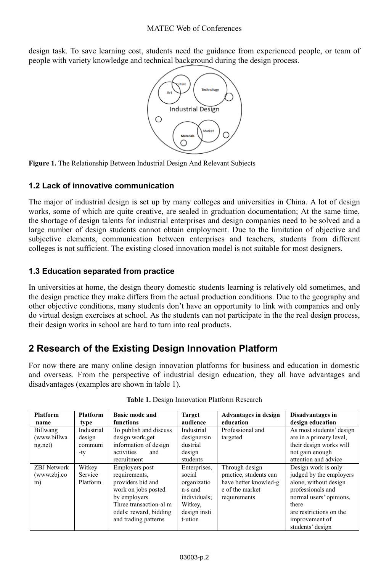design task. To save learning cost, students need the guidance from experienced people, or team of people with variety knowledge and technical background during the design process.



**Figure 1.** The Relationship Between Industrial Design And Relevant Subjects

#### **1.2 Lack of innovative communication**

The major of industrial design is set up by many colleges and universities in China. A lot of design works, some of which are quite creative, are sealed in graduation documentation; At the same time, the shortage of design talents for industrial enterprises and design companies need to be solved and a large number of design students cannot obtain employment. Due to the limitation of objective and subjective elements, communication between enterprises and teachers, students from different colleges is not sufficient. The existing closed innovation model is not suitable for most designers.

#### **1.3 Education separated from practice**

In universities at home, the design theory domestic students learning is relatively old sometimes, and the design practice they make differs from the actual production conditions. Due to the geography and other objective conditions, many students don't have an opportunity to link with companies and only do virtual design exercises at school. As the students can not participate in the the real design process, their design works in school are hard to turn into real products.

### **2 Research of the Existing Design Innovation Platform**

For now there are many online design innovation platforms for business and education in domestic and overseas. From the perspective of industrial design education, they all have advantages and disadvantages (examples are shown in table 1).

| <b>Platform</b><br>name            | Platform<br>type                       | <b>Basic mode and</b><br>functions                                                                                                                                       | <b>Target</b><br>audience                                                                              | <b>Advantages in design</b><br>education                                                             | Disadvantages in<br>design education                                                                                                                                                              |
|------------------------------------|----------------------------------------|--------------------------------------------------------------------------------------------------------------------------------------------------------------------------|--------------------------------------------------------------------------------------------------------|------------------------------------------------------------------------------------------------------|---------------------------------------------------------------------------------------------------------------------------------------------------------------------------------------------------|
| Billwang<br>(www.billwa<br>ng.net) | Industrial<br>design<br>communi<br>-ty | To publish and discuss<br>design work, get<br>information of design<br>activities<br>and<br>recruitment                                                                  | Industrial<br>designersin<br>dustrial<br>design<br>students                                            | Professional and<br>targeted                                                                         | As most students' design<br>are in a primary level,<br>their design works will<br>not gain enough<br>attention and advice                                                                         |
| ZBJ Network<br>(www.zbj.co<br>m)   | Witkey<br>Service<br>Platform          | Employers post<br>requirements,<br>providers bid and<br>work on jobs posted<br>by employers.<br>Three transaction-al m<br>odels: reward, bidding<br>and trading patterns | Enterprises,<br>social<br>organizatio<br>n-s and<br>individuals;<br>Witkey,<br>design insti<br>t-ution | Through design<br>practice, students can<br>have better knowled-g<br>e of the market<br>requirements | Design work is only<br>judged by the employers<br>alone, without design<br>professionals and<br>normal users' opinions,<br>there<br>are restrictions on the<br>improvement of<br>students' design |

**Table 1.** Design Innovation Platform Research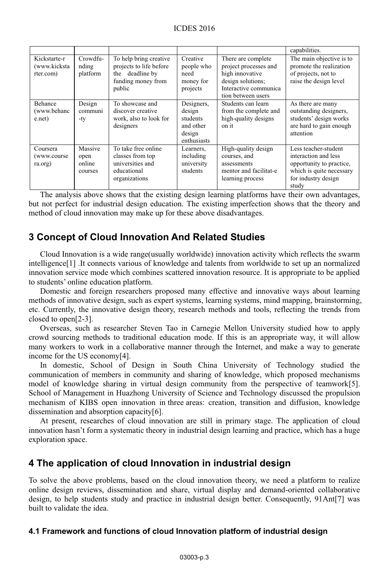|                                           |                                      |                                                                                                         |                                                                        |                                                                                                                                    | capabilities.                                                                                                                        |
|-------------------------------------------|--------------------------------------|---------------------------------------------------------------------------------------------------------|------------------------------------------------------------------------|------------------------------------------------------------------------------------------------------------------------------------|--------------------------------------------------------------------------------------------------------------------------------------|
| Kickstarte-r<br>(www.kicksta<br>rter.com) | Crowdfu-<br>nding<br>platform        | To help bring creative<br>projects to life before<br>deadline by<br>the<br>funding money from<br>public | Creative<br>people who<br>need<br>money for<br>projects                | There are complete<br>project processes and<br>high innovative<br>design solutions;<br>Interactive communica<br>tion between users | The main objective is to<br>promote the realization<br>of projects, not to<br>raise the design level                                 |
| Behance<br>(www.behanc<br>e.net)          | Design<br>communi<br>-ty             | To showcase and<br>discover creative<br>work, also to look for<br>designers                             | Designers.<br>design<br>students<br>and other<br>design<br>enthusiasts | Students can learn<br>from the complete and<br>high-quality designs<br>on it                                                       | As there are many<br>outstanding designers,<br>students' design works<br>are hard to gain enough<br>attention                        |
| Coursera<br>(www.course)<br>ra.org)       | Massive<br>open<br>online<br>courses | To take free online<br>classes from top<br>universities and<br>educational<br>organizations             | Learners,<br>including<br>university<br>students                       | High-quality design<br>courses, and<br>assessments<br>mentor and facilitat-e<br>learning process                                   | Less teacher-student<br>interaction and less<br>opportunity to practice,<br>which is quite necessary<br>for industry design<br>study |

The analysis above shows that the existing design learning platforms have their own advantages, but not perfect for industrial design education. The existing imperfection shows that the theory and method of cloud innovation may make up for these above disadvantages.

## **3 Concept of Cloud Innovation And Related Studies**

Cloud Innovation is a wide range(usually worldwide) innovation activity which reflects the swarm intelligence[1] .It connects various of knowledge and talents from worldwide to set up an normalized innovation service mode which combines scattered innovation resource. It is appropriate to be applied to students' online education platform.

Domestic and foreign researchers proposed many effective and innovative ways about learning methods of innovative design, such as expert systems, learning systems, mind mapping, brainstorming, etc. Currently, the innovative design theory, research methods and tools, reflecting the trends from closed to open[2-3].

Overseas, such as researcher Steven Tao in Carnegie Mellon University studied how to apply crowd sourcing methods to traditional education mode. If this is an appropriate way, it will allow many workers to work in a collaborative manner through the Internet, and make a way to generate income for the US economy[4].

In domestic, School of Design in South China University of Technology studied the communication of members in community and sharing of knowledge, which proposed mechanisms model of knowledge sharing in virtual design community from the perspective of teamwork[5]. School of Management in Huazhong University of Science and Technology discussed the propulsion mechanism of KIBS open innovation in three areas: creation, transition and diffusion, knowledge dissemination and absorption capacity[6].

At present, researches of cloud innovation are still in primary stage. The application of cloud innovation hasn't form a systematic theory in industrial design learning and practice, which has a huge exploration space.

### **4 The application of cloud Innovation in industrial design**

To solve the above problems, based on the cloud innovation theory, we need a platform to realize online design reviews, dissemination and share, virtual display and demand-oriented collaborative design, to help students study and practice in industrial design better. Consequently, 91Ant[7] was built to validate the idea.

#### **4.1 Framework and functions of cloud Innovation platform of industrial design**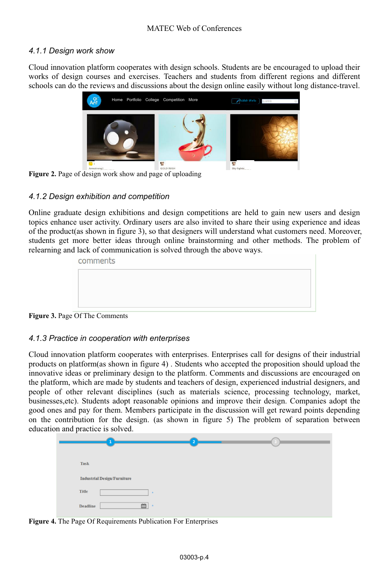#### *4.1.1 Design work show*

Cloud innovation platform cooperates with design schools. Students are be encouraged to upload their works of design courses and exercises. Teachers and students from different regions and different schools can do the reviews and discussions about the design online easily without long distance-travel.



**Figure 2.** Page of design work show and page of uploading

#### *4.1.2 Design exhibition and competition*

Online graduate design exhibitions and design competitions are held to gain new users and design topics enhance user activity. Ordinary users are also invited to share their using experience and ideas of the product(as shown in figure 3), so that designers will understand what customers need. Moreover, students get more better ideas through online brainstorming and other methods. The problem of relearning and lack of communication is solved through the above ways.

| comments |  |  |  |
|----------|--|--|--|
|          |  |  |  |
|          |  |  |  |
|          |  |  |  |

**Figure 3.** Page Of The Comments

#### *4.1.3 Practice in cooperation with enterprises*

Cloud innovation platform cooperates with enterprises. Enterprises call for designs of their industrial products on platform(as shown in figure 4) . Students who accepted the proposition should upload the innovative ideas or preliminary design to the platform. Comments and discussions are encouraged on the platform, which are made by students and teachers of design, experienced industrial designers, and people of other relevant disciplines (such as materials science, processing technology, market, businesses,etc). Students adopt reasonable opinions and improve their design. Companies adopt the good ones and pay for them. Members participate in the discussion will get reward points depending on the contribution for the design. (as shown in figure 5) The problem of separation between education and practice is solved.

| Task                               |       |  |
|------------------------------------|-------|--|
| <b>Industrial Design/Furniture</b> |       |  |
| Title                              |       |  |
| Ë<br><b>Deadline</b>               | $\pm$ |  |

**Figure 4.** The Page Of Requirements Publication For Enterprises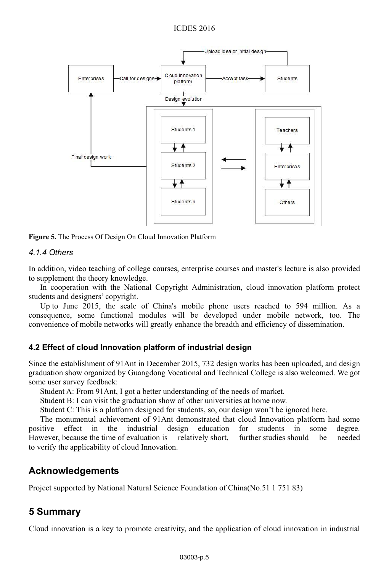

**Figure 5.** The Process Of Design On Cloud Innovation Platform

#### *4.1.4 Others*

In addition, video teaching of college courses, enterprise courses and master's lecture is also provided to supplement the theory knowledge.

In cooperation with the National Copyright Administration, cloud innovation platform protect students and designers' copyright.

Up to June 2015, the scale of China's mobile phone users reached to 594 million. As a consequence, some functional modules will be developed under mobile network, too. The convenience of mobile networks will greatly enhance the breadth and efficiency of dissemination.

#### **4.2 Effect of cloud Innovation platform of industrial design**

Since the establishment of 91Ant in December 2015, 732 design works has been uploaded, and design graduation show organized by Guangdong Vocational and Technical College is also welcomed. We got some user survey feedback:

Student A: From 91Ant, I got a better understanding of the needs of market.

Student B: I can visit the graduation show of other universities at home now.

Student C: This is a platform designed for students, so, our design won't be ignored here.

The monumental achievement of 91Ant demonstrated that cloud Innovation platform had some positive effect in the industrial design education for students in some degree. However, because the time of evaluation is relatively short, further studies should be needed to verify the applicability of cloud Innovation.

### **Acknowledgements**

Project supported by National Natural Science Foundation of China(No.51 1 751 83)

# **Summary 5**

Cloud innovation is a key to promote creativity, and the application of cloud innovation in industrial